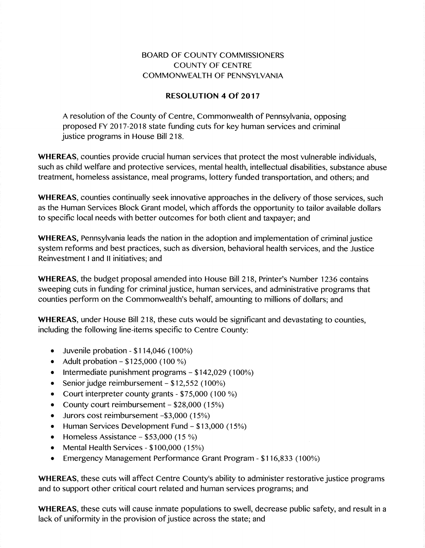## BOARD OF COUNTY COMMISSIONERS COUNTY OF CENTRE COMMONWEALTH OF PENNSYLVANIA

## RESOLUTION 4 Of 2017

A resolution of the County of Centre, Commonwealth of Pennsylvania, opposing proposed FY 2017-2018 state funding cuts for key human services and criminal justice programs in House Bill 218.

WHEREAS, counties provide crucial human services that protect the most vulnerable individuals, such as child welfare and protective services, mental health, intellectual disabilities, substance abuse treatment, homeless assistance, meal programs, lottery funded transportation, and others; and

WHEREAS, counties continually seek innovative approaches in the delivery of those services, such as the Human Services Block Grant model, which affords the opportunity to tailor available dollars to specific local needs with better outcomes for both client and taxpayer; and

WHEREAS, Pennsylvania leads the nation in the adoption and implementation of criminal justice system reforms and best practices, such as diversion, behavioral health services, and the Justice Reinvestment I and II initiatives; and

WHEREAS, the budget proposal amended into House Bill 218, Printer's Number 1236 contains sweeping cuts in funding for criminal justice, human services, and administrative programs that counties perform on the Commonwealth's behalf, amounting to millions of dollars; and

WHEREAS, under House Bill 218, these cuts would be significant and devastating to counties, including the following line-items specific to Centre County:

- $\bullet$  Juvenile probation \$114,046 (100%)
- Adult probation  $-$  \$125,000 (100 %)
- $\bullet$  Intermediate punishment programs  $-$  \$142,029 (100%)
- **•** Senior judge reimbursement  $-$  \$12,552 (100%)
- Court interpreter county grants  $$75,000$  (100 %)
- County court reimbursement  $-$  \$28,000 (15%)
- . Jurors cost reimbursement -\$3,000 (15%)
- $\bullet$  Human Services Development Fund \$13,000 (15%)
- $\bullet$  Homeless Assistance  $-$  \$53,000 (15 %)
- Mental Health Services  $$100,000$  (15%)
- Emergency Management Performance Grant Program \$116,833 (100%)

WHEREAS, these cuts will affect Centre County's ability to administer restorative justice programs and to support other critical court related and human services programs; and

WHEREAS, these cuts will cause inmate populations to swell, decrease public safety, and result in a lack of uniformity in the provision of justice across the state; and